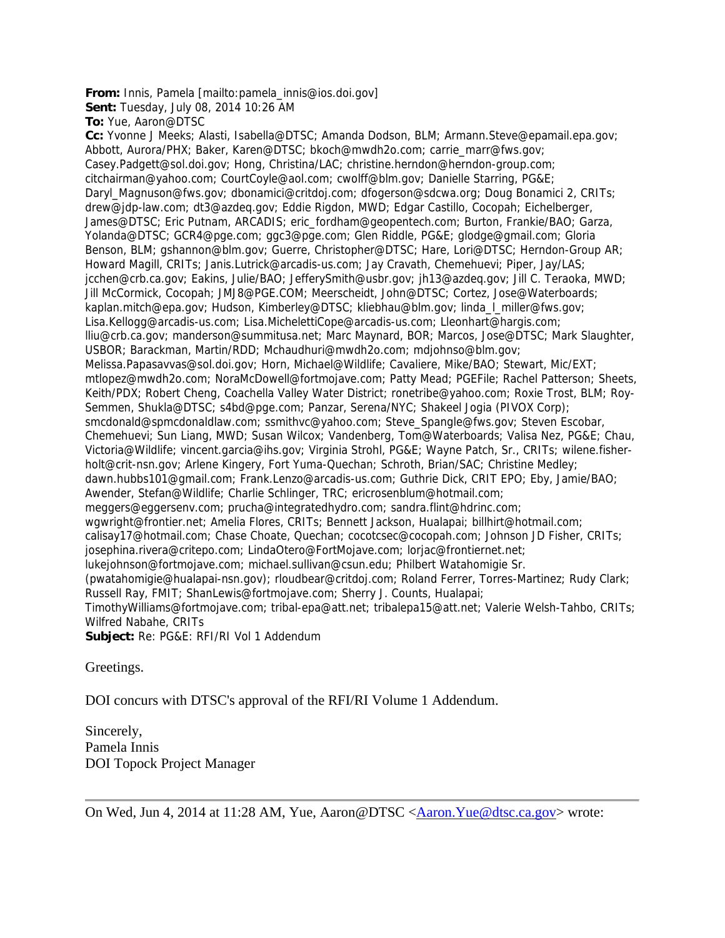## **From:** Innis, Pamela [mailto:pamela\_innis@ios.doi.gov]

**Sent:** Tuesday, July 08, 2014 10:26 AM

**To:** Yue, Aaron@DTSC

**Cc:** Yvonne J Meeks; Alasti, Isabella@DTSC; Amanda Dodson, BLM; Armann.Steve@epamail.epa.gov; Abbott, Aurora/PHX; Baker, Karen@DTSC; bkoch@mwdh2o.com; carrie\_marr@fws.gov; Casey.Padgett@sol.doi.gov; Hong, Christina/LAC; christine.herndon@herndon-group.com; citchairman@yahoo.com; CourtCoyle@aol.com; cwolff@blm.gov; Danielle Starring, PG&E; Daryl\_Magnuson@fws.gov; dbonamici@critdoj.com; dfogerson@sdcwa.org; Doug Bonamici 2, CRITs; drew@jdp-law.com; dt3@azdeq.gov; Eddie Rigdon, MWD; Edgar Castillo, Cocopah; Eichelberger, James@DTSC; Eric Putnam, ARCADIS; eric\_fordham@geopentech.com; Burton, Frankie/BAO; Garza, Yolanda@DTSC; GCR4@pge.com; ggc3@pge.com; Glen Riddle, PG&E; glodge@gmail.com; Gloria Benson, BLM; gshannon@blm.gov; Guerre, Christopher@DTSC; Hare, Lori@DTSC; Herndon-Group AR; Howard Magill, CRITs; Janis.Lutrick@arcadis-us.com; Jay Cravath, Chemehuevi; Piper, Jay/LAS; jcchen@crb.ca.gov; Eakins, Julie/BAO; JefferySmith@usbr.gov; jh13@azdeq.gov; Jill C. Teraoka, MWD; Jill McCormick, Cocopah; JMJ8@PGE.COM; Meerscheidt, John@DTSC; Cortez, Jose@Waterboards; kaplan.mitch@epa.gov; Hudson, Kimberley@DTSC; kliebhau@blm.gov; linda\_l\_miller@fws.gov; Lisa.Kellogg@arcadis-us.com; Lisa.MichelettiCope@arcadis-us.com; Lleonhart@hargis.com; lliu@crb.ca.gov; manderson@summitusa.net; Marc Maynard, BOR; Marcos, Jose@DTSC; Mark Slaughter, USBOR; Barackman, Martin/RDD; Mchaudhuri@mwdh2o.com; mdjohnso@blm.gov; Melissa.Papasavvas@sol.doi.gov; Horn, Michael@Wildlife; Cavaliere, Mike/BAO; Stewart, Mic/EXT; mtlopez@mwdh2o.com; NoraMcDowell@fortmojave.com; Patty Mead; PGEFile; Rachel Patterson; Sheets, Keith/PDX; Robert Cheng, Coachella Valley Water District; ronetribe@yahoo.com; Roxie Trost, BLM; Roy-Semmen, Shukla@DTSC; s4bd@pge.com; Panzar, Serena/NYC; Shakeel Jogia (PIVOX Corp); smcdonald@spmcdonaldlaw.com; ssmithvc@yahoo.com; Steve\_Spangle@fws.gov; Steven Escobar, Chemehuevi; Sun Liang, MWD; Susan Wilcox; Vandenberg, Tom@Waterboards; Valisa Nez, PG&E; Chau, Victoria@Wildlife; vincent.garcia@ihs.gov; Virginia Strohl, PG&E; Wayne Patch, Sr., CRITs; wilene.fisherholt@crit-nsn.gov; Arlene Kingery, Fort Yuma-Quechan; Schroth, Brian/SAC; Christine Medley; dawn.hubbs101@gmail.com; Frank.Lenzo@arcadis-us.com; Guthrie Dick, CRIT EPO; Eby, Jamie/BAO; Awender, Stefan@Wildlife; Charlie Schlinger, TRC; ericrosenblum@hotmail.com; meggers@eggersenv.com; prucha@integratedhydro.com; sandra.flint@hdrinc.com; wgwright@frontier.net; Amelia Flores, CRITs; Bennett Jackson, Hualapai; billhirt@hotmail.com; calisay17@hotmail.com; Chase Choate, Quechan; cocotcsec@cocopah.com; Johnson JD Fisher, CRITs; josephina.rivera@critepo.com; LindaOtero@FortMojave.com; lorjac@frontiernet.net; lukejohnson@fortmojave.com; michael.sullivan@csun.edu; Philbert Watahomigie Sr. (pwatahomigie@hualapai-nsn.gov); rloudbear@critdoj.com; Roland Ferrer, Torres-Martinez; Rudy Clark; Russell Ray, FMIT; ShanLewis@fortmojave.com; Sherry J. Counts, Hualapai; TimothyWilliams@fortmojave.com; tribal-epa@att.net; tribalepa15@att.net; Valerie Welsh-Tahbo, CRITs; Wilfred Nabahe, CRITs **Subject:** Re: PG&E: RFI/RI Vol 1 Addendum

Greetings.

DOI concurs with DTSC's approval of the RFI/RI Volume 1 Addendum.

Sincerely, Pamela Innis DOI Topock Project Manager

On Wed, Jun 4, 2014 at 11:28 AM, Yue, Aaron@DTSC <Aaron.Yue@dtsc.ca.gov> wrote: